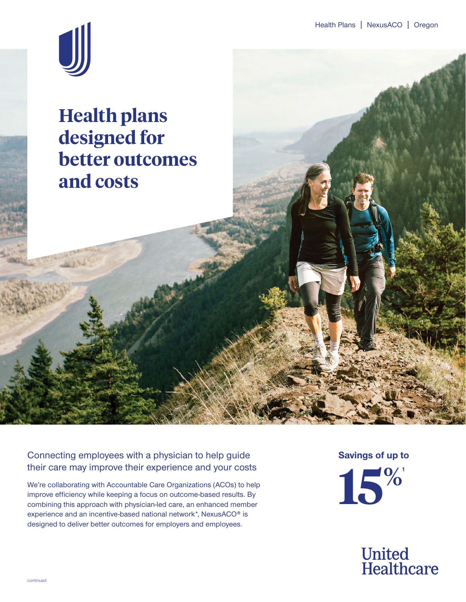

**Health plans designed for better outcomes and costs**

Connecting employees with a physician to help guide their care may improve their experience and your costs

We're collaborating with Accountable Care Organizations (ACOs) to help improve efficiency while keeping a focus on outcome-based results. By combining this approach with physician-led care, an enhanced member experience and an incentive-based national network\*, NexusACO® is designed to deliver better outcomes for employers and employees.

**Savings of up to**



**United<br>Healthcare**